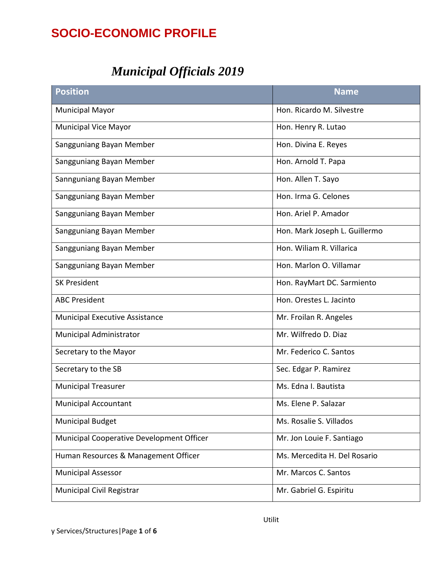# **SOCIO-ECONOMIC PROFILE**

# *Municipal Officials 2019*

| <b>Position</b>                           | <b>Name</b>                   |
|-------------------------------------------|-------------------------------|
| <b>Municipal Mayor</b>                    | Hon. Ricardo M. Silvestre     |
| <b>Municipal Vice Mayor</b>               | Hon. Henry R. Lutao           |
| Sangguniang Bayan Member                  | Hon. Divina E. Reyes          |
| Sangguniang Bayan Member                  | Hon. Arnold T. Papa           |
| Sannguniang Bayan Member                  | Hon. Allen T. Sayo            |
| Sangguniang Bayan Member                  | Hon. Irma G. Celones          |
| Sangguniang Bayan Member                  | Hon. Ariel P. Amador          |
| Sangguniang Bayan Member                  | Hon. Mark Joseph L. Guillermo |
| Sangguniang Bayan Member                  | Hon. Wiliam R. Villarica      |
| Sangguniang Bayan Member                  | Hon. Marlon O. Villamar       |
| <b>SK President</b>                       | Hon. RayMart DC. Sarmiento    |
| <b>ABC President</b>                      | Hon. Orestes L. Jacinto       |
| <b>Municipal Executive Assistance</b>     | Mr. Froilan R. Angeles        |
| Municipal Administrator                   | Mr. Wilfredo D. Diaz          |
| Secretary to the Mayor                    | Mr. Federico C. Santos        |
| Secretary to the SB                       | Sec. Edgar P. Ramirez         |
| <b>Municipal Treasurer</b>                | Ms. Edna I. Bautista          |
| <b>Municipal Accountant</b>               | Ms. Elene P. Salazar          |
| <b>Municipal Budget</b>                   | Ms. Rosalie S. Villados       |
| Municipal Cooperative Development Officer | Mr. Jon Louie F. Santiago     |
| Human Resources & Management Officer      | Ms. Mercedita H. Del Rosario  |
| <b>Municipal Assessor</b>                 | Mr. Marcos C. Santos          |
| <b>Municipal Civil Registrar</b>          | Mr. Gabriel G. Espiritu       |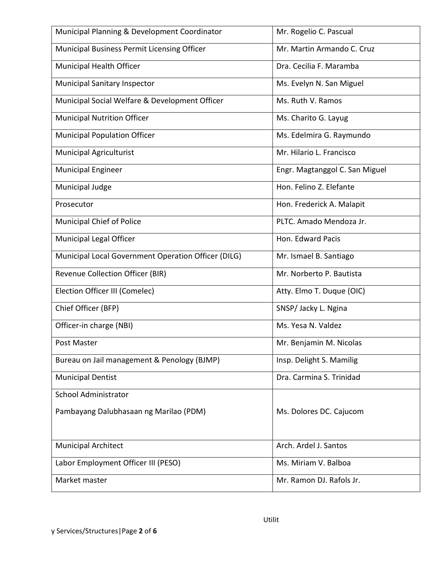| Municipal Planning & Development Coordinator        | Mr. Rogelio C. Pascual         |
|-----------------------------------------------------|--------------------------------|
| Municipal Business Permit Licensing Officer         | Mr. Martin Armando C. Cruz     |
| Municipal Health Officer                            | Dra. Cecilia F. Maramba        |
| <b>Municipal Sanitary Inspector</b>                 | Ms. Evelyn N. San Miguel       |
| Municipal Social Welfare & Development Officer      | Ms. Ruth V. Ramos              |
| <b>Municipal Nutrition Officer</b>                  | Ms. Charito G. Layug           |
| <b>Municipal Population Officer</b>                 | Ms. Edelmira G. Raymundo       |
| <b>Municipal Agriculturist</b>                      | Mr. Hilario L. Francisco       |
| <b>Municipal Engineer</b>                           | Engr. Magtanggol C. San Miguel |
| Municipal Judge                                     | Hon. Felino Z. Elefante        |
| Prosecutor                                          | Hon. Frederick A. Malapit      |
| <b>Municipal Chief of Police</b>                    | PLTC. Amado Mendoza Jr.        |
| Municipal Legal Officer                             | Hon. Edward Pacis              |
| Municipal Local Government Operation Officer (DILG) | Mr. Ismael B. Santiago         |
| Revenue Collection Officer (BIR)                    | Mr. Norberto P. Bautista       |
| Election Officer III (Comelec)                      | Atty. Elmo T. Duque (OIC)      |
| Chief Officer (BFP)                                 | SNSP/ Jacky L. Ngina           |
| Officer-in charge (NBI)                             | Ms. Yesa N. Valdez             |
| Post Master                                         | Mr. Benjamin M. Nicolas        |
| Bureau on Jail management & Penology (BJMP)         | Insp. Delight S. Mamilig       |
| <b>Municipal Dentist</b>                            | Dra. Carmina S. Trinidad       |
| <b>School Administrator</b>                         |                                |
| Pambayang Dalubhasaan ng Marilao (PDM)              | Ms. Dolores DC. Cajucom        |
| <b>Municipal Architect</b>                          | Arch. Ardel J. Santos          |
| Labor Employment Officer III (PESO)                 | Ms. Miriam V. Balboa           |
| Market master                                       | Mr. Ramon DJ. Rafols Jr.       |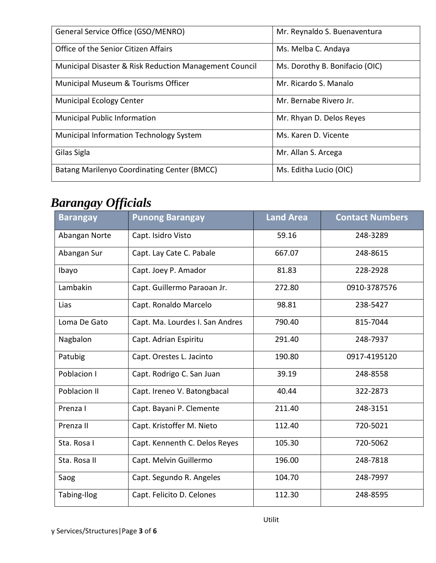| General Service Office (GSO/MENRO)                     | Mr. Reynaldo S. Buenaventura   |
|--------------------------------------------------------|--------------------------------|
|                                                        |                                |
| Office of the Senior Citizen Affairs                   | Ms. Melba C. Andaya            |
|                                                        |                                |
| Municipal Disaster & Risk Reduction Management Council | Ms. Dorothy B. Bonifacio (OIC) |
| Municipal Museum & Tourisms Officer                    | Mr. Ricardo S. Manalo          |
|                                                        |                                |
| <b>Municipal Ecology Center</b>                        | Mr. Bernabe Rivero Jr.         |
|                                                        |                                |
| <b>Municipal Public Information</b>                    | Mr. Rhyan D. Delos Reyes       |
|                                                        |                                |
| Municipal Information Technology System                | Ms. Karen D. Vicente           |
|                                                        |                                |
| Gilas Sigla                                            | Mr. Allan S. Arcega            |
|                                                        |                                |
| Batang Marilenyo Coordinating Center (BMCC)            | Ms. Editha Lucio (OIC)         |
|                                                        |                                |

# *Barangay Officials*

| vv              |                                 |                  |                        |
|-----------------|---------------------------------|------------------|------------------------|
| <b>Barangay</b> | <b>Punong Barangay</b>          | <b>Land Area</b> | <b>Contact Numbers</b> |
| Abangan Norte   | Capt. Isidro Visto              | 59.16            | 248-3289               |
| Abangan Sur     | Capt. Lay Cate C. Pabale        | 667.07           | 248-8615               |
| Ibayo           | Capt. Joey P. Amador            | 81.83            | 228-2928               |
| Lambakin        | Capt. Guillermo Paraoan Jr.     | 272.80           | 0910-3787576           |
| Lias            | Capt. Ronaldo Marcelo           | 98.81            | 238-5427               |
| Loma De Gato    | Capt. Ma. Lourdes I. San Andres | 790.40           | 815-7044               |
| Nagbalon        | Capt. Adrian Espiritu           | 291.40           | 248-7937               |
| Patubig         | Capt. Orestes L. Jacinto        | 190.80           | 0917-4195120           |
| Poblacion I     | Capt. Rodrigo C. San Juan       | 39.19            | 248-8558               |
| Poblacion II    | Capt. Ireneo V. Batongbacal     | 40.44            | 322-2873               |
| Prenza I        | Capt. Bayani P. Clemente        | 211.40           | 248-3151               |
| Prenza II       | Capt. Kristoffer M. Nieto       | 112.40           | 720-5021               |
| Sta. Rosa I     | Capt. Kennenth C. Delos Reyes   | 105.30           | 720-5062               |
| Sta. Rosa II    | Capt. Melvin Guillermo          | 196.00           | 248-7818               |
| Saog            | Capt. Segundo R. Angeles        | 104.70           | 248-7997               |
| Tabing-Ilog     | Capt. Felicito D. Celones       | 112.30           | 248-8595               |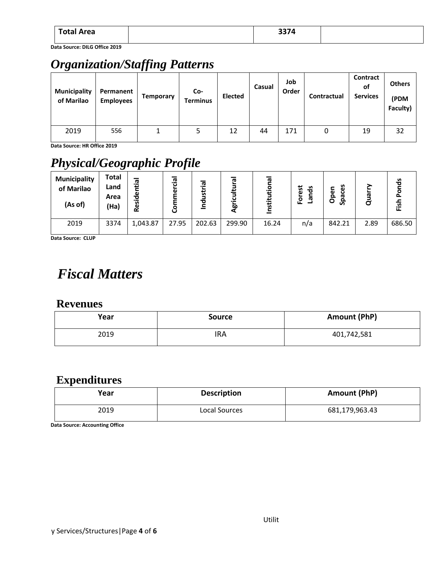| <b>Total Area</b> | $227A$<br>537 S<br>$ -$ |  |
|-------------------|-------------------------|--|
|                   |                         |  |

**Data Source: DILG Office 2019**

# *Organization/Staffing Patterns*

| <b>Municipality</b><br>of Marilao | Permanent<br><b>Employees</b> | Temporary | Co-<br><b>Terminus</b> | <b>Elected</b> | Casual | Job<br>Order | Contractual | Contract<br>оf<br><b>Services</b> | <b>Others</b><br>(PDM<br>Faculty) |
|-----------------------------------|-------------------------------|-----------|------------------------|----------------|--------|--------------|-------------|-----------------------------------|-----------------------------------|
| 2019                              | 556                           |           | 5                      | 12             | 44     | 171          | 0           | 19                                | 32                                |

**Data Source: HR Office 2019**

# *Physical/Geographic Profile*

| <b>Municipality</b><br>of Marilao<br>(As of) | Total<br>Land<br>Area<br>(Ha) | -<br>σ<br>Ŧ.<br>မီ<br>$\cdot$<br><b>i</b><br>قع | 은.<br>$\overline{\mathbf{u}}$<br>ω<br>u | Ē.<br>ঢ<br>о | ᠭᢐ<br>৯ | $\bar{\mathbf{e}}$<br>$\circ$<br>÷<br>Institu | est<br>ಕೆ<br>►<br>ō<br>ᢐ<br>ட | ces<br>န<br>௨<br>ᠭᠤ<br>$\circ$<br>ஃ | $\overline{\mathbf{a}}$ | s<br>ъ<br>쭌 |
|----------------------------------------------|-------------------------------|-------------------------------------------------|-----------------------------------------|--------------|---------|-----------------------------------------------|-------------------------------|-------------------------------------|-------------------------|-------------|
| 2019                                         | 3374                          | 1,043.87                                        | 27.95                                   | 202.63       | 299.90  | 16.24                                         | n/a                           | 842.21                              | 2.89                    | 686.50      |

**Data Source: CLUP**

# *Fiscal Matters*

#### **Revenues**

| Year | <b>Source</b> | Amount (PhP) |
|------|---------------|--------------|
| 2019 | IRA           | 401,742,581  |

#### **Expenditures**

| Year | <b>Description</b> | Amount (PhP)   |
|------|--------------------|----------------|
| 2019 | Local Sources      | 681,179,963.43 |

**Data Source: Accounting Office**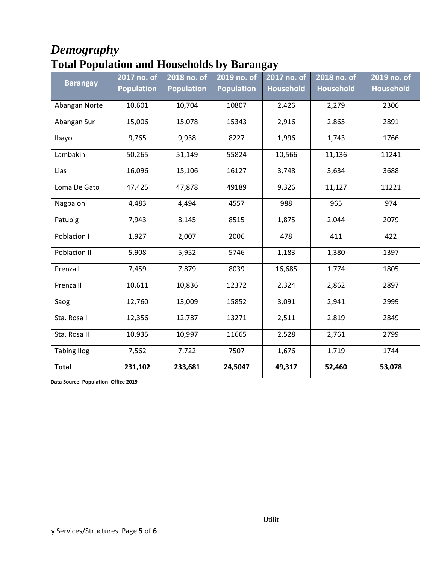### *Demography* **Total Population and Households by Barangay**

|                    | 2017 no. of       | 2018 no. of       | 2019 no. of       | 2017 no. of      | 2018 no. of      | 2019 no. of      |
|--------------------|-------------------|-------------------|-------------------|------------------|------------------|------------------|
| <b>Barangay</b>    | <b>Population</b> | <b>Population</b> | <b>Population</b> | <b>Household</b> | <b>Household</b> | <b>Household</b> |
| Abangan Norte      | 10,601            | 10,704            | 10807             | 2,426            | 2,279            | 2306             |
| Abangan Sur        | 15,006            | 15,078            | 15343             | 2,916            | 2,865            | 2891             |
| Ibayo              | 9,765             | 9,938             | 8227              | 1,996            | 1,743            | 1766             |
| Lambakin           | 50,265            | 51,149            | 55824             | 10,566           | 11,136           | 11241            |
| Lias               | 16,096            | 15,106            | 16127             | 3,748            | 3,634            | 3688             |
| Loma De Gato       | 47,425            | 47,878            | 49189             | 9,326            | 11,127           | 11221            |
| Nagbalon           | 4,483             | 4,494             | 4557              | 988              | 965              | 974              |
| Patubig            | 7,943             | 8,145             | 8515              | 1,875            | 2,044            | 2079             |
| Poblacion I        | 1,927             | 2,007             | 2006              | 478              | 411              | 422              |
| Poblacion II       | 5,908             | 5,952             | 5746              | 1,183            | 1,380            | 1397             |
| Prenza I           | 7,459             | 7,879             | 8039              | 16,685           | 1,774            | 1805             |
| Prenza II          | 10,611            | 10,836            | 12372             | 2,324            | 2,862            | 2897             |
| Saog               | 12,760            | 13,009            | 15852             | 3,091            | 2,941            | 2999             |
| Sta. Rosa I        | 12,356            | 12,787            | 13271             | 2,511            | 2,819            | 2849             |
| Sta. Rosa II       | 10,935            | 10,997            | 11665             | 2,528            | 2,761            | 2799             |
| <b>Tabing Ilog</b> | 7,562             | 7,722             | 7507              | 1,676            | 1,719            | 1744             |
| <b>Total</b>       | 231,102           | 233,681           | 24,5047           | 49,317           | 52,460           | 53,078           |

**Data Source: Population Office 2019**